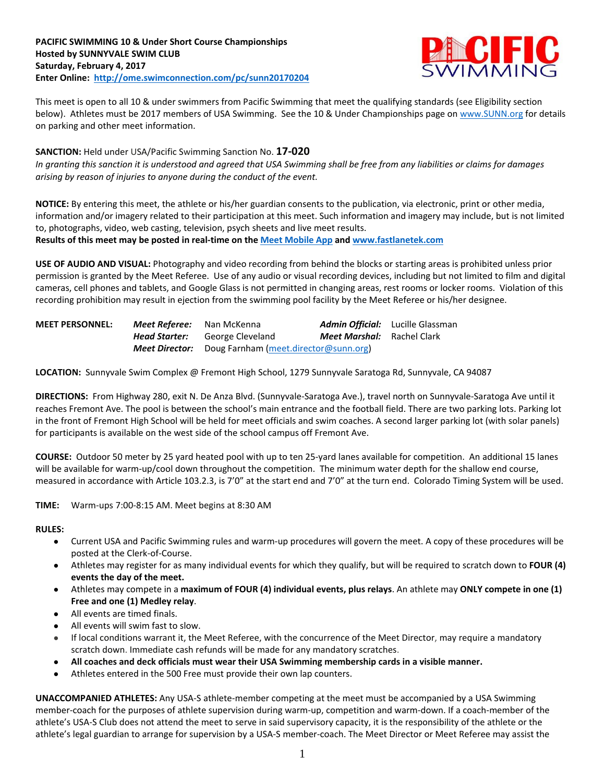

This meet is open to all 10 & under swimmers from Pacific Swimming that meet the qualifying standards (see Eligibility section below). Athletes must be 2017 members of USA Swimming. See the 10 & Under Championships page o[n www.SUNN.org](https://www.teamunify.com/TabGeneric.jsp?_tabid_=78683&team=sunn) for details on parking and other meet information.

**SANCTION:** Held under USA/Pacific Swimming Sanction No. **17-020** *In granting this sanction it is understood and agreed that USA Swimming shall be free from any liabilities or claims for damages arising by reason of injuries to anyone during the conduct of the event.*

**NOTICE:** By entering this meet, the athlete or his/her guardian consents to the publication, via electronic, print or other media, information and/or imagery related to their participation at this meet. Such information and imagery may include, but is not limited to, photographs, video, web casting, television, psych sheets and live meet results.

**Results of this meet may be posted in real-time on the [Meet Mobile App](http://www.active.com/mobile/meet-mobile-app) and [www.fastlanetek.com](http://www.fastlanetek.com/)**

**USE OF AUDIO AND VISUAL:** Photography and video recording from behind the blocks or starting areas is prohibited unless prior permission is granted by the Meet Referee. Use of any audio or visual recording devices, including but not limited to film and digital cameras, cell phones and tablets, and Google Glass is not permitted in changing areas, rest rooms or locker rooms. Violation of this recording prohibition may result in ejection from the swimming pool facility by the Meet Referee or his/her designee.

| <b>MEET PERSONNEL:</b> | Meet Referee: | Nan McKenna                                                 |                                   | <b>Admin Official:</b> Lucille Glassman |
|------------------------|---------------|-------------------------------------------------------------|-----------------------------------|-----------------------------------------|
|                        | Head Starter: | George Cleveland                                            | <b>Meet Marshal:</b> Rachel Clark |                                         |
|                        |               | <b>Meet Director:</b> Doug Farnham (meet.director@sunn.org) |                                   |                                         |

**LOCATION:** Sunnyvale Swim Complex @ Fremont High School, 1279 Sunnyvale Saratoga Rd, Sunnyvale, CA 94087

**DIRECTIONS:** From Highway 280, exit N. De Anza Blvd. (Sunnyvale-Saratoga Ave.), travel north on Sunnyvale-Saratoga Ave until it reaches Fremont Ave. The pool is between the school's main entrance and the football field. There are two parking lots. Parking lot in the front of Fremont High School will be held for meet officials and swim coaches. A second larger parking lot (with solar panels) for participants is available on the west side of the school campus off Fremont Ave.

**COURSE:** Outdoor 50 meter by 25 yard heated pool with up to ten 25-yard lanes available for competition.An additional 15 lanes will be available for warm-up/cool down throughout the competition. The minimum water depth for the shallow end course, measured in accordance with Article 103.2.3, is 7'0" at the start end and 7'0" at the turn end. Colorado Timing System will be used.

**TIME:** Warm-ups 7:00-8:15 AM. Meet begins at 8:30 AM

#### **RULES:**

- Current USA and Pacific Swimming rules and warm-up procedures will govern the meet. A copy of these procedures will be posted at the Clerk-of-Course.
- Athletes may register for as many individual events for which they qualify, but will be required to scratch down to **FOUR (4) events the day of the meet.**
- Athletes may compete in a **maximum of FOUR (4) individual events, plus relays**. An athlete may **ONLY compete in one (1) Free and one (1) Medley relay**.
- All events are timed finals.
- All events will swim fast to slow.
- If local conditions warrant it, the Meet Referee, with the concurrence of the Meet Director, may require a mandatory scratch down. Immediate cash refunds will be made for any mandatory scratches.
- **All coaches and deck officials must wear their USA Swimming membership cards in a visible manner.**
- Athletes entered in the 500 Free must provide their own lap counters.

**UNACCOMPANIED ATHLETES:** Any USA-S athlete-member competing at the meet must be accompanied by a USA Swimming member-coach for the purposes of athlete supervision during warm-up, competition and warm-down. If a coach-member of the athlete's USA-S Club does not attend the meet to serve in said supervisory capacity, it is the responsibility of the athlete or the athlete's legal guardian to arrange for supervision by a USA-S member-coach. The Meet Director or Meet Referee may assist the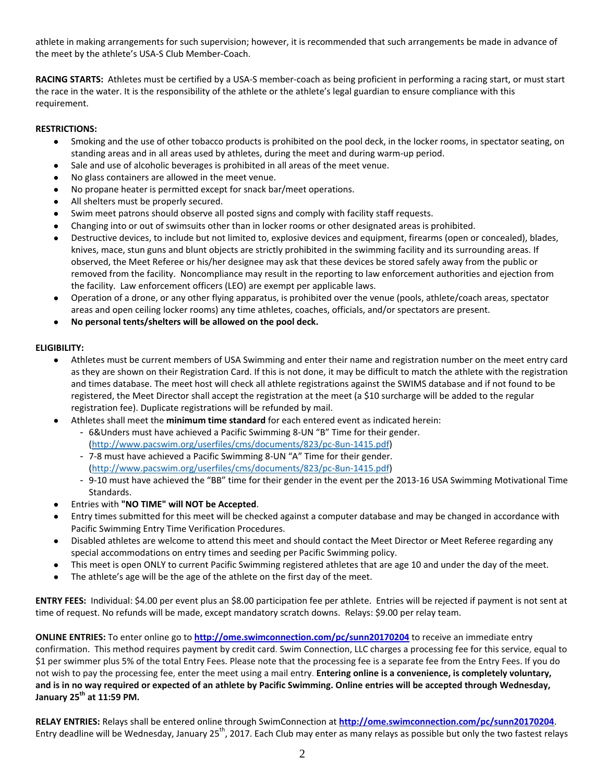athlete in making arrangements for such supervision; however, it is recommended that such arrangements be made in advance of the meet by the athlete's USA-S Club Member-Coach.

**RACING STARTS:** Athletes must be certified by a USA-S member-coach as being proficient in performing a racing start, or must start the race in the water. It is the responsibility of the athlete or the athlete's legal guardian to ensure compliance with this requirement.

## **RESTRICTIONS:**

- Smoking and the use of other tobacco products is prohibited on the pool deck, in the locker rooms, in spectator seating, on standing areas and in all areas used by athletes, during the meet and during warm-up period.
- Sale and use of alcoholic beverages is prohibited in all areas of the meet venue.
- No glass containers are allowed in the meet venue.
- No propane heater is permitted except for snack bar/meet operations.
- All shelters must be properly secured.
- Swim meet patrons should observe all posted signs and comply with facility staff requests.
- Changing into or out of swimsuits other than in locker rooms or other designated areas is prohibited.
- Destructive devices, to include but not limited to, explosive devices and equipment, firearms (open or concealed), blades, knives, mace, stun guns and blunt objects are strictly prohibited in the swimming facility and its surrounding areas. If observed, the Meet Referee or his/her designee may ask that these devices be stored safely away from the public or removed from the facility. Noncompliance may result in the reporting to law enforcement authorities and ejection from the facility. Law enforcement officers (LEO) are exempt per applicable laws.
- Operation of a drone, or any other flying apparatus, is prohibited over the venue (pools, athlete/coach areas, spectator areas and open ceiling locker rooms) any time athletes, coaches, officials, and/or spectators are present.
- **No personal tents/shelters will be allowed on the pool deck.**

## **ELIGIBILITY:**

- Athletes must be current members of USA Swimming and enter their name and registration number on the meet entry card as they are shown on their Registration Card. If this is not done, it may be difficult to match the athlete with the registration and times database. The meet host will check all athlete registrations against the SWIMS database and if not found to be registered, the Meet Director shall accept the registration at the meet (a \$10 surcharge will be added to the regular registration fee). Duplicate registrations will be refunded by mail.
- Athletes shall meet the **minimum time standard** for each entered event as indicated herein:
	- 6&Unders must have achieved a Pacific Swimming 8-UN "B" Time for their gender. [\(http://www.pacswim.org/userfiles/cms/documents/823/pc-8un-1415.pdf\)](http://www.pacswim.org/userfiles/cms/documents/823/pc-8un-1415.pdf)
	- 7-8 must have achieved a Pacific Swimming 8-UN "A" Time for their gender. [\(http://www.pacswim.org/userfiles/cms/documents/823/pc-8un-1415.pdf\)](http://www.pacswim.org/userfiles/cms/documents/823/pc-8un-1415.pdf)
	- 9-10 must have achieved the "BB" time for their gender in the event per the 2013-16 USA Swimming Motivational Time Standards.
- Entries with "NO TIME" will NOT be Accepted.
- Entry times submitted for this meet will be checked against a computer database and may be changed in accordance with Pacific Swimming Entry Time Verification Procedures.
- Disabled athletes are welcome to attend this meet and should contact the Meet Director or Meet Referee regarding any special accommodations on entry times and seeding per Pacific Swimming policy.
- This meet is open ONLY to current Pacific Swimming registered athletes that are age 10 and under the day of the meet.
- The athlete's age will be the age of the athlete on the first day of the meet.

**ENTRY FEES:** Individual: \$4.00 per event plus an \$8.00 participation fee per athlete. Entries will be rejected if payment is not sent at time of request. No refunds will be made, except mandatory scratch downs. Relays: \$9.00 per relay team.

**ONLINE ENTRIES:** To enter online go to **<http://ome.swimconnection.com/pc/sunn20170204>** to receive an immediate entry confirmation. This method requires payment by credit card. Swim Connection, LLC charges a processing fee for this service, equal to \$1 per swimmer plus 5% of the total Entry Fees. Please note that the processing fee is a separate fee from the Entry Fees. If you do not wish to pay the processing fee, enter the meet using a mail entry. **Entering online is a convenience, is completely voluntary, and is in no way required or expected of an athlete by Pacific Swimming. Online entries will be accepted through Wednesday, January 25th at 11:59 PM.** 

**RELAY ENTRIES:** Relays shall be entered online through SwimConnection at **<http://ome.swimconnection.com/pc/sunn20170204>**. Entry deadline will be Wednesday, January 25<sup>th</sup>, 2017. Each Club may enter as many relays as possible but only the two fastest relays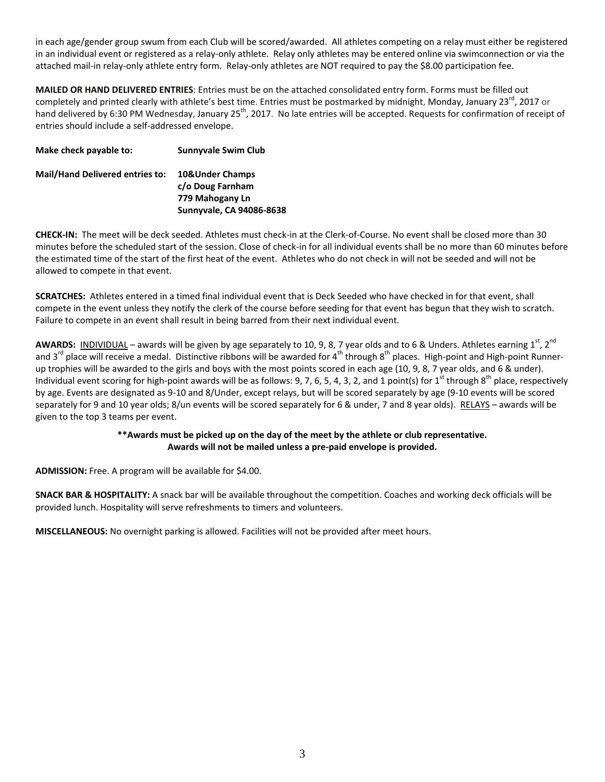in each age/gender group swum from each Club will be scored/awarded. All athletes competing on a relay must either be registered in an individual event or registered as a relay-only athlete. Relay only athletes may be entered online via swimconnection or via the attached mail-in relay-only athlete entry form. Relay-only athletes are NOT required to pay the \$8.00 participation fee.

**MAILED OR HAND DELIVERED ENTRIES**: Entries must be on the attached consolidated entry form. Forms must be filled out completely and printed clearly with athlete's best time. Entries must be postmarked by midnight, Monday, January 23<sup>rd</sup>, 2017 or hand delivered by 6:30 PM Wednesday, January 25<sup>th</sup>, 2017. No late entries will be accepted. Requests for confirmation of receipt of entries should include a self-addressed envelope.

| Make check payable to:                 | <b>Sunnyvale Swim Club</b>          |
|----------------------------------------|-------------------------------------|
| <b>Mail/Hand Delivered entries to:</b> | 10&Under Champs<br>c/o Doug Farnham |
|                                        | 779 Mahogany Ln                     |
|                                        | Sunnyvale, CA 94086-8638            |

**CHECK-IN:** The meet will be deck seeded. Athletes must check-in at the Clerk-of-Course. No event shall be closed more than 30 minutes before the scheduled start of the session. Close of check-in for all individual events shall be no more than 60 minutes before the estimated time of the start of the first heat of the event. Athletes who do not check in will not be seeded and will not be allowed to compete in that event.

**SCRATCHES:** Athletes entered in a timed final individual event that is Deck Seeded who have checked in for that event, shall compete in the event unless they notify the clerk of the course before seeding for that event has begun that they wish to scratch. Failure to compete in an event shall result in being barred from their next individual event.

**AWARDS:** INDIVIDUAL – awards will be given by age separately to 10, 9, 8, 7 year olds and to 6 & Unders. Athletes earning 1<sup>st</sup>, 2<sup>nd</sup> and 3<sup>rd</sup> place will receive a medal. Distinctive ribbons will be awarded for 4<sup>th</sup> through 8<sup>th</sup> places. High-point and High-point Runnerup trophies will be awarded to the girls and boys with the most points scored in each age (10, 9, 8, 7 year olds, and 6 & under). Individual event scoring for high-point awards will be as follows: 9, 7, 6, 5, 4, 3, 2, and 1 point(s) for 1<sup>st</sup> through  $8<sup>th</sup>$  place, respectively by age. Events are designated as 9-10 and 8/Under, except relays, but will be scored separately by age (9-10 events will be scored separately for 9 and 10 year olds; 8/un events will be scored separately for 6 & under, 7 and 8 year olds). RELAYS - awards will be given to the top 3 teams per event.

#### **\*\*Awards must be picked up on the day of the meet by the athlete or club representative. Awards will not be mailed unless a pre-paid envelope is provided.**

**ADMISSION:** Free. A program will be available for \$4.00.

**SNACK BAR & HOSPITALITY:** A snack bar will be available throughout the competition. Coaches and working deck officials will be provided lunch. Hospitality will serve refreshments to timers and volunteers.

**MISCELLANEOUS:** No overnight parking is allowed. Facilities will not be provided after meet hours.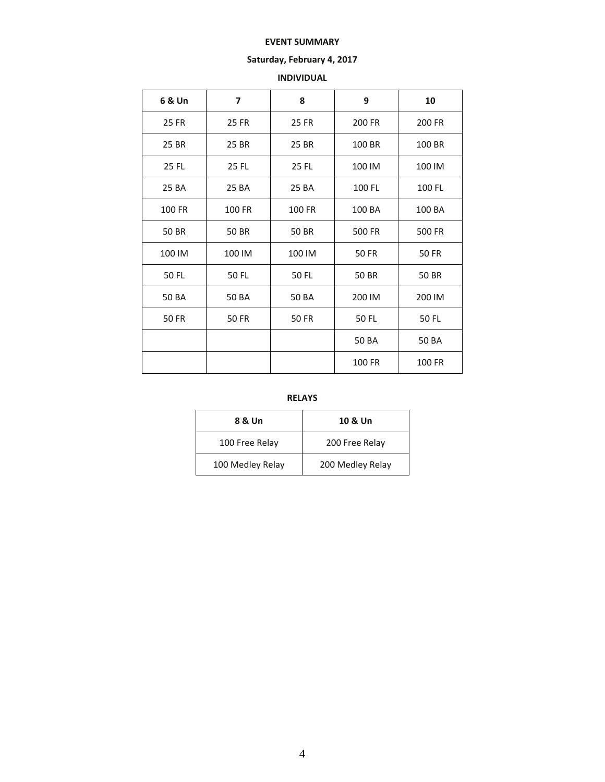#### **EVENT SUMMARY**

## **Saturday, February 4, 2017**

## **INDIVIDUAL**

| 6 & Un       | $\overline{\phantom{a}}$ | 8            | 9            | 10            |  |  |
|--------------|--------------------------|--------------|--------------|---------------|--|--|
| 25 FR        | 25 FR                    | 25 FR        | 200 FR       | <b>200 FR</b> |  |  |
| 25 BR        | 25 BR                    | 25 BR        | 100 BR       | 100 BR        |  |  |
| 25 FL        | 25 FL                    | 25 FL        | 100 IM       |               |  |  |
| 25 BA        | 25 BA                    | 25 BA        | 100 FL       | 100 FL        |  |  |
| 100 FR       | 100 FR                   | 100 FR       | 100 BA       | 100 BA        |  |  |
| 50 BR        | 50 BR<br>50 BR           |              | 500 FR       | 500 FR        |  |  |
| 100 IM       | 100 IM                   | 100 IM       | <b>50 FR</b> | 50 FR         |  |  |
| 50 FL        | 50 FL                    | 50 FL        | 50 BR        | 50 BR         |  |  |
| 50 BA        | 50 BA                    | 50 BA        | 200 IM       | 200 IM        |  |  |
| <b>50 FR</b> | <b>50 FR</b>             | <b>50 FR</b> | 50 FL        | 50 FL         |  |  |
|              |                          |              | 50 BA        | 50 BA         |  |  |
|              |                          |              | 100 FR       | 100 FR        |  |  |

**RELAYS**

| 8 & Un           | 10 & Un          |  |  |  |  |  |
|------------------|------------------|--|--|--|--|--|
| 100 Free Relay   | 200 Free Relay   |  |  |  |  |  |
| 100 Medley Relay | 200 Medley Relay |  |  |  |  |  |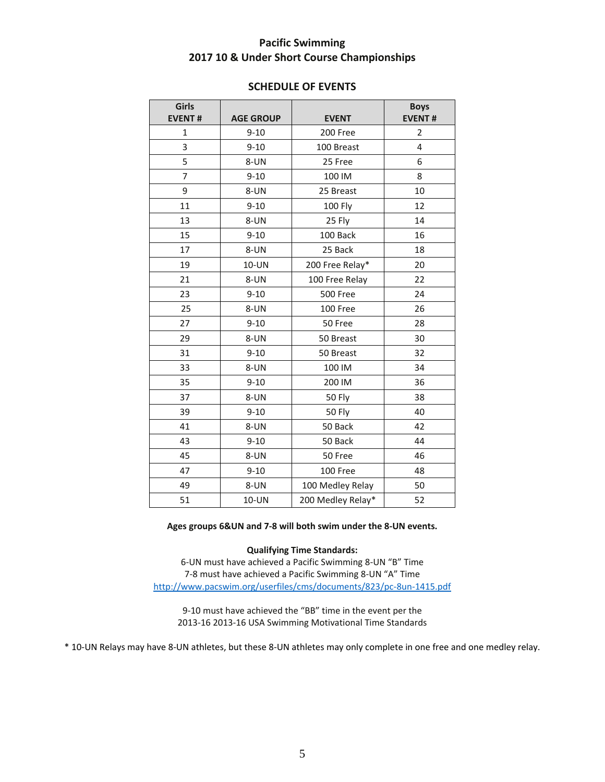## **Pacific Swimming 10 & Under Short Course Championships**

| Girls<br><b>EVENT#</b> | <b>AGE GROUP</b>     | <b>EVENT</b>      | <b>Boys</b><br><b>EVENT#</b> |
|------------------------|----------------------|-------------------|------------------------------|
| $\mathbf 1$            | $9 - 10$             | 200 Free          | 2                            |
| 3                      | $9 - 10$             | 100 Breast        | 4                            |
| 5                      | 8-UN                 | 25 Free           | 6                            |
| $\overline{7}$         | $9 - 10$             | 100 IM            | 8                            |
| 9                      | 8-UN                 | 25 Breast         | 10                           |
| 11                     | $9 - 10$             | <b>100 Fly</b>    | 12                           |
| 13                     | 8-UN                 | 25 Fly            | 14                           |
| 15                     | $9 - 10$             | 100 Back          | 16                           |
| 17                     | 8-UN                 | 25 Back           | 18                           |
| 19                     | 10-UN                | 200 Free Relay*   | 20                           |
| 21                     | 8-UN                 | 100 Free Relay    | 22                           |
| 23                     | $9 - 10$<br>500 Free |                   | 24                           |
| 25                     | 8-UN                 | 100 Free          | 26                           |
| 27                     | $9 - 10$             | 50 Free           | 28                           |
| 29                     | 8-UN                 | 50 Breast         | 30                           |
| 31                     | $9 - 10$             | 50 Breast         | 32                           |
| 33                     | 8-UN                 | 100 IM            | 34                           |
| 35                     | $9 - 10$             | 200 IM            | 36                           |
| 37                     | 8-UN                 | 50 Fly            | 38                           |
| 39                     | $9 - 10$             | <b>50 Fly</b>     | 40                           |
| 41                     | 8-UN                 | 50 Back           | 42                           |
| 43                     | $9 - 10$             | 50 Back           | 44                           |
| 45                     | 8-UN                 | 50 Free           | 46                           |
| 47                     | $9 - 10$             | 100 Free          | 48                           |
| 49                     | 8-UN                 | 100 Medley Relay  | 50                           |
| 51                     | 10-UN                | 200 Medley Relay* | 52                           |

## **SCHEDULE OF EVENTS**

#### **Ages groups 6&UN and 7-8 will both swim under the 8-UN events.**

**Qualifying Time Standards:**

6-UN must have achieved a Pacific Swimming 8-UN "B" Time 7-8 must have achieved a Pacific Swimming 8-UN "A" Time <http://www.pacswim.org/userfiles/cms/documents/823/pc-8un-1415.pdf>

9-10 must have achieved the "BB" time in the event per the 2013-16 2013-16 USA Swimming Motivational Time Standards

\* 10-UN Relays may have 8-UN athletes, but these 8-UN athletes may only complete in one free and one medley relay.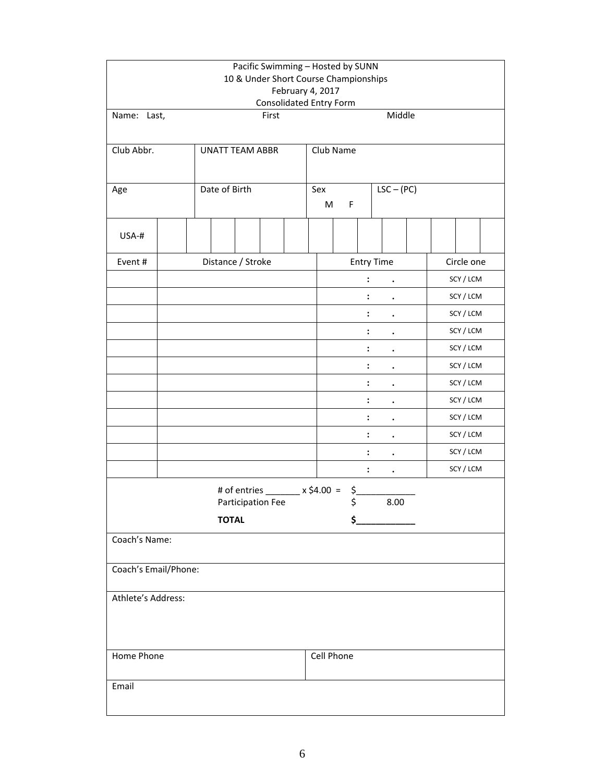|                      | Pacific Swimming - Hosted by SUNN<br>10 & Under Short Course Championships<br>February 4, 2017<br><b>Consolidated Entry Form</b> |                      |              |            |  |  |  |  |  |
|----------------------|----------------------------------------------------------------------------------------------------------------------------------|----------------------|--------------|------------|--|--|--|--|--|
| Name: Last,          | First                                                                                                                            |                      | Middle       |            |  |  |  |  |  |
| Club Abbr.           | <b>UNATT TEAM ABBR</b>                                                                                                           | Club Name            |              |            |  |  |  |  |  |
| Age                  | Date of Birth                                                                                                                    | Sex<br>M<br>F        | $LSC - (PC)$ |            |  |  |  |  |  |
| USA-#                |                                                                                                                                  |                      |              |            |  |  |  |  |  |
| Event #              | Distance / Stroke                                                                                                                | <b>Entry Time</b>    |              | Circle one |  |  |  |  |  |
|                      |                                                                                                                                  |                      |              | SCY / LCM  |  |  |  |  |  |
|                      |                                                                                                                                  | $\ddot{\cdot}$       |              | SCY / LCM  |  |  |  |  |  |
|                      |                                                                                                                                  | :                    |              | SCY / LCM  |  |  |  |  |  |
|                      |                                                                                                                                  |                      |              | SCY / LCM  |  |  |  |  |  |
|                      |                                                                                                                                  | $\ddot{\cdot}$       |              | SCY / LCM  |  |  |  |  |  |
|                      |                                                                                                                                  | $\ddot{\phantom{a}}$ |              | SCY / LCM  |  |  |  |  |  |
|                      |                                                                                                                                  |                      |              | SCY / LCM  |  |  |  |  |  |
|                      |                                                                                                                                  | $\ddot{\phantom{a}}$ |              | SCY / LCM  |  |  |  |  |  |
|                      |                                                                                                                                  | $\ddot{\cdot}$       |              | SCY / LCM  |  |  |  |  |  |
|                      |                                                                                                                                  | $\ddot{\cdot}$       |              | SCY / LCM  |  |  |  |  |  |
|                      |                                                                                                                                  | $\ddot{\cdot}$       |              | SCY / LCM  |  |  |  |  |  |
|                      |                                                                                                                                  | :                    | $\bullet$    | SCY / LCM  |  |  |  |  |  |
|                      | # of entries ________ x \$4.00 =                                                                                                 | $\mathsf{S}_-$       |              |            |  |  |  |  |  |
|                      | Participation Fee                                                                                                                | $\zeta$              | 8.00         |            |  |  |  |  |  |
|                      | <b>TOTAL</b>                                                                                                                     | \$                   |              |            |  |  |  |  |  |
| Coach's Name:        |                                                                                                                                  |                      |              |            |  |  |  |  |  |
| Coach's Email/Phone: |                                                                                                                                  |                      |              |            |  |  |  |  |  |
| Athlete's Address:   |                                                                                                                                  |                      |              |            |  |  |  |  |  |
| Home Phone           |                                                                                                                                  | Cell Phone           |              |            |  |  |  |  |  |
| Email                |                                                                                                                                  |                      |              |            |  |  |  |  |  |